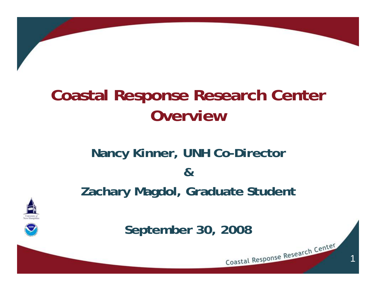## **Coastal Response Research Center Overview**

#### **Nancy Kinner, UNH Co-Director &Zachary Magdol, Graduate Student**



**September 30, 2008**

1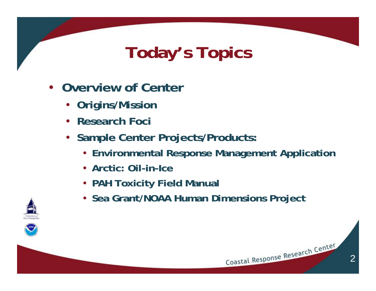## **Today's Topics**

- **Overview of Center**
	- **Origins/Mission**
	- **Research Foci**
	- **Sample Center Projects/Products:**
		- **Environmental Response Management Application**

2

- **Arctic: Oil-in-Ice**
- **PAH Toxicity Field Manual**
- **Sea Grant/NOAA Human Dimensions Project**



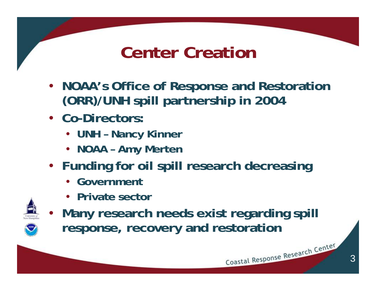## **Center Creation**

- **NOAA's Office of Response and Restoration (ORR)/UNH spill partnership in 2004**
- **Co-Directors:**
	- **UNH Nancy Kinner**
	- **NOAA Amy Merten**
- **Funding for oil spill research decreasing**
	- **Government**
	- **Private sector**



• **Many research needs exist regarding spill response, recovery and restoration**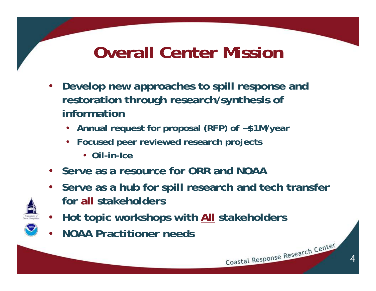## **Overall Center Mission**

- **Develop new approaches to spill response and restoration through research/synthesis of information**
	- **Annual request for proposal (RFP) of ~\$1M/year**
	- **Focused peer reviewed research projects**
		- **Oil-in-Ice**
- **Serve as a resource for ORR and NOAA**
- **Serve as a hub for spill research and tech transfer for all stakeholders**
- **Hot topic workshops with All stakeholders**
- **NOAA Practitioner needs**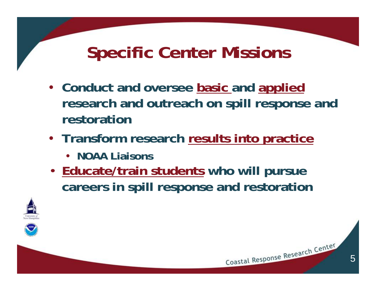## **Specific Center Missions**

- **Conduct and oversee basic and applied research and outreach on spill response and restoration**
- **Transform research results into practice**
	- **NOAA Liaisons**
- **Educate/train students who will pursue careers in spill response and restoration**



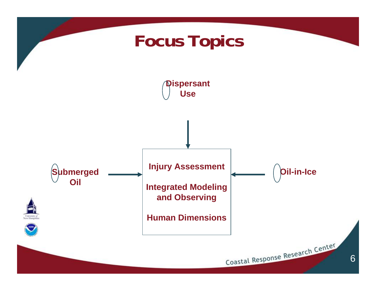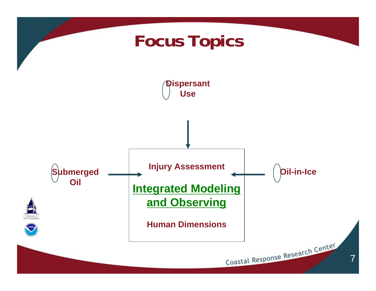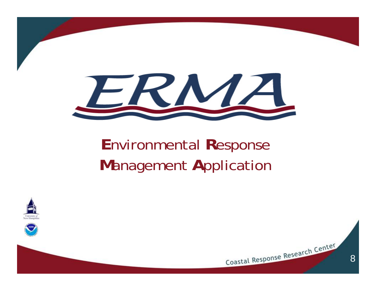

## **E**nvironmental **R**esponse **M**anagement **A**pplication





8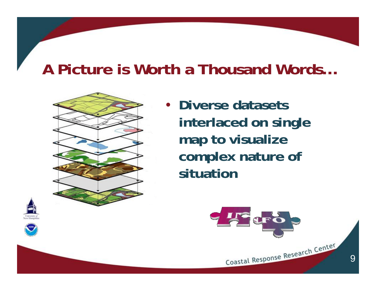#### **A Picture is Worth a Thousand Words…**



• **Diverse datasets interlaced on single map to visualize complex nature of situation**







9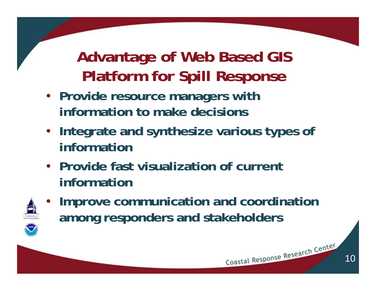## **Advantage of Web Based GIS Platform for Spill Response**

- **Provide resource managers with information to make decisions**
- **Integrate and synthesize various types of information**
- **Provide fast visualization of current information**



• **Improve communication and coordination among responders and stakeholders**



10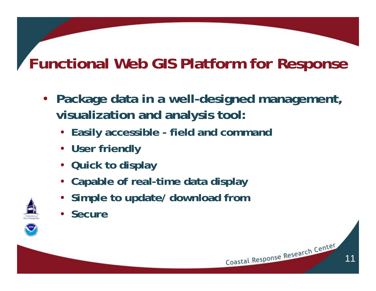## **Functional Web GIS Platform for Response**

• **Package data in a well-designed management, visualization and analysis tool:**

11

- **Easily accessible field and command**
- **User friendly**
- **Quick to display**
- **Capable of real-time data display**
- **Simple to update/ download from**
- **Secure**

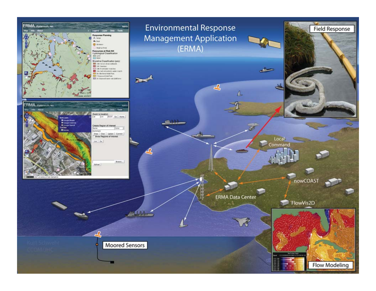



سننتف

巴

**ERMA Data Center** 

Sun



ڪ

Local

Command



nowCOAST

will

**NOTE** 

**Field Response** 

**Moored Sensors** 

**LLM-**

➤

Adv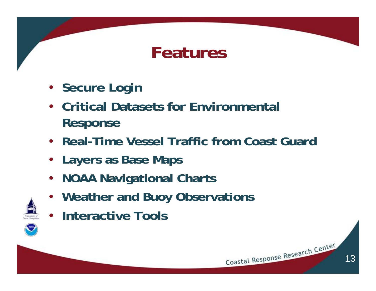## **Features**

- **Secure Login**
- **Critical Datasets for Environmental Response**
- **Real-Time Vessel Traffic from Coast Guard**

13

- **Layers as Base Maps**
- **NOAA Navigational Charts**
- **Weather and Buoy Observations**
- **Interactive Tools**

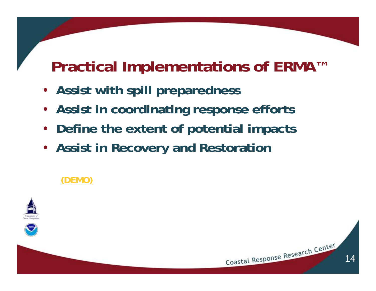#### **Practical Implementations of ERMA™**

14

Coastal Response Research Center

- **Assist with spill preparedness**
- **Assist in coordinating response efforts**
- **Define the extent of potential impacts**
- **Assist in Recovery and Restoration**

#### **[\(DEMO\)](https://portsmouthresponse.unh.edu/erma.html)**



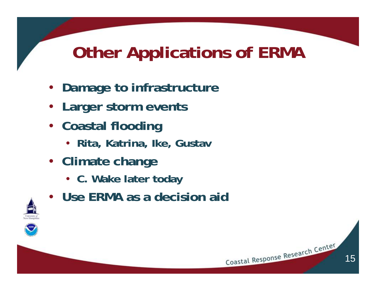## **Other Applications of ERMA**

15

- **Damage to infrastructure**
- **Larger storm events**
- **Coastal flooding**
	- **Rita, Katrina, Ike, Gustav**
- **Climate change**
	- **C. Wake later today**
- **Use ERMA as a decision aid**



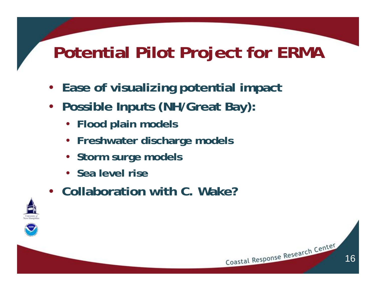## **Potential Pilot Project for ERMA**

16

- **Ease of visualizing potential impact**
- **Possible Inputs (NH/Great Bay):**
	- **Flood plain models**
	- **Freshwater discharge models**
	- **Storm surge models**
	- **Sea level rise**
- **Collaboration with C. Wake?**

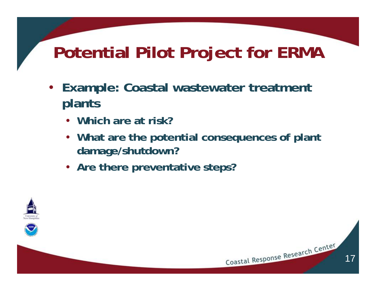## **Potential Pilot Project for ERMA**

- **Example: Coastal wastewater treatment plants**
	- **Which are at risk?**
	- **What are the potential consequences of plant damage/shutdown?**

17

Coastal Response Research Center

• **Are there preventative steps?**



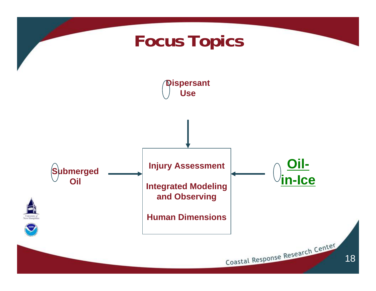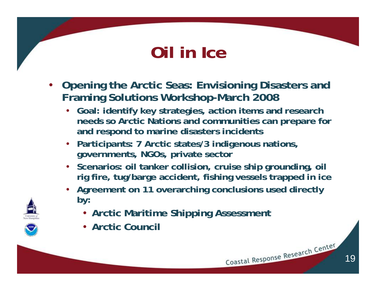## **Oil in Ice**

- **Opening the Arctic Seas: Envisioning Disasters and Framing Solutions Workshop-March 2008**
	- **Goal: identify key strategies, action items and research needs so Arctic Nations and communities can prepare for and respond to marine disasters incidents**
	- **Participants: 7 Arctic states/3 indigenous nations, governments, NGOs, private sector**
	- **Scenarios: oil tanker collision, cruise ship grounding, oil rig fire, tug/barge accident, fishing vessels trapped in ice**
	- **Agreement on 11 overarching conclusions used directly by:**
		- **Arctic Maritime Shipping Assessment**
		- **Arctic Council**



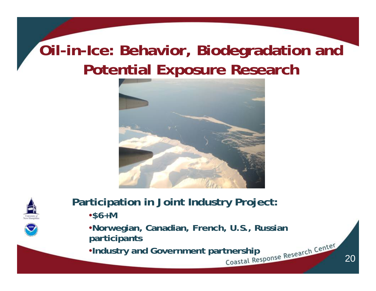## **Oil-in-Ice: Behavior, Biodegradation and Potential Exposure Research**





**Participation in Joint Industry Project:**

•**\$6+M**

•**Norwegian, Canadian, French, U.S., Russian participants**

**•Industry and Government partnership**<br> **Example Research Center**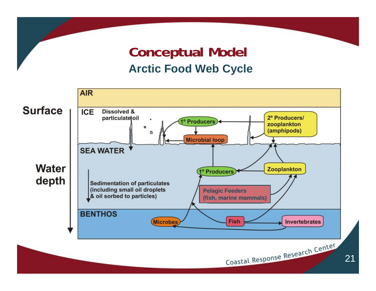#### **Conceptual Model Arctic Food Web Cycle**

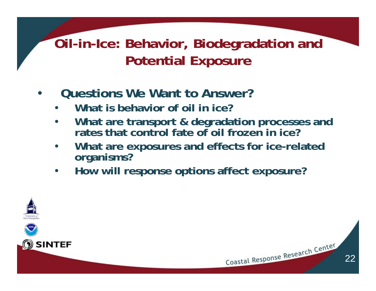#### **Oil-in-Ice: Behavior, Biodegradation and Potential Exposure**

#### • **Questions We Want to Answer?**

- **What is behavior of oil in ice?**
- **What are transport & degradation processes and rates that control fate of oil frozen in ice?**
- **What are exposures and effects for ice-related organisms?**

22

Coastal Response Research Center

• **How will response options affect exposure?**

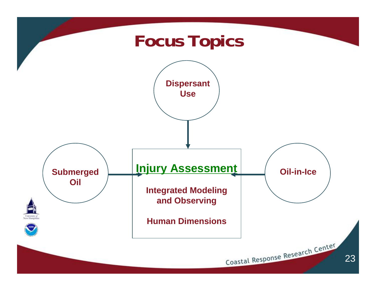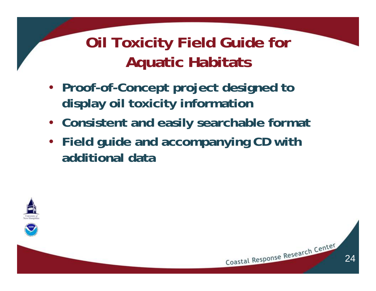## **Oil Toxicity Field Guide for Aquatic Habitats**

- **Proof-of-Concept project designed to display oil toxicity information**
- **Consistent and easily searchable format**
- **Field guide and accompanying CD with additional data**

24



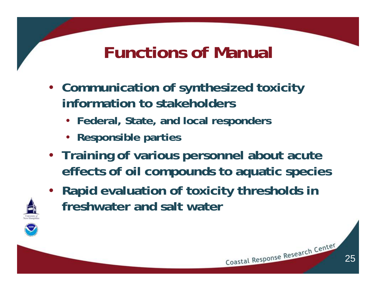## **Functions of Manual**

- **Communication of synthesized toxicity information to stakeholders**
	- **Federal, State, and local responders**
	- **Responsible parties**
- **Training of various personnel about acute effects of oil compounds to aquatic species**
- **Rapid evaluation of toxicity thresholds in freshwater and salt water**

25

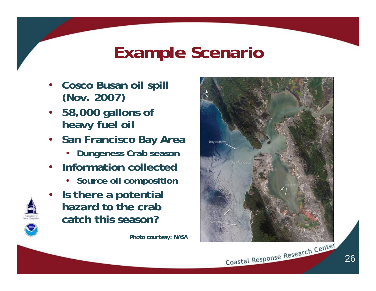## **Example Scenario**

- **Cosco Busan oil spill (Nov. 2007)**
- **58,000 gallons of heavy fuel oil**
- **San Francisco Bay Area**
	- **Dungeness Crab season**
- **Information collected**
	- **Source oil composition**
- **Is there a potential hazard to the crab catch this season?**

*Photo courtesy: NASA*





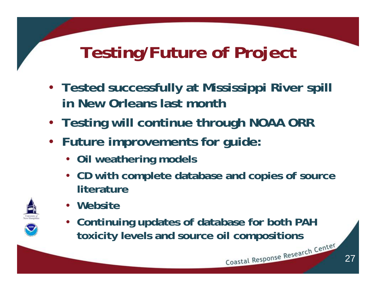# **Testing/Future of Project**

- **Tested successfully at Mississippi River spill in New Orleans last month**
- **Testing will continue through NOAA ORR**
- **Future improvements for guide:**
	- **Oil weathering models**
	- **CD with complete database and copies of source literature**



- **Website**
- **Continuing updates of database for both PAH toxicity levels and source oil compositions**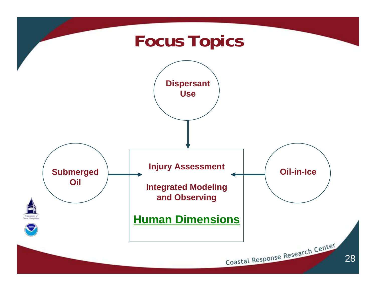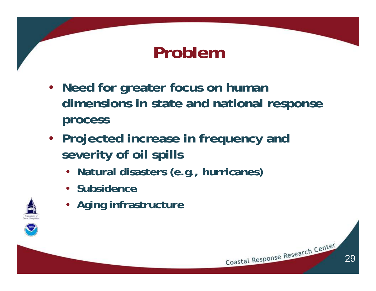## **Problem**

- **Need for greater focus on human dimensions in state and national response process**
- **Projected increase in frequency and severity of oil spills** 
	- **Natural disasters (e.g., hurricanes)**
	- **Subsidence**



• **Aging infrastructure**

29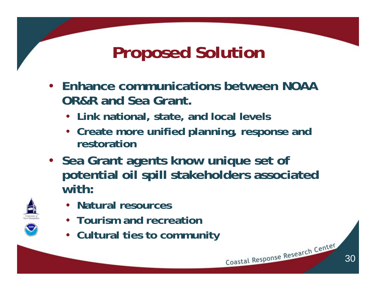## **Proposed Solution**

- **Enhance communications between NOAA OR&R and Sea Grant.** 
	- **Link national, state, and local levels**
	- **Create more unified planning, response and restoration**
- **Sea Grant agents know unique set of potential oil spill stakeholders associated with:**
	- **Natural resources**
	- **Tourism and recreation**
	- **Cultural ties to community**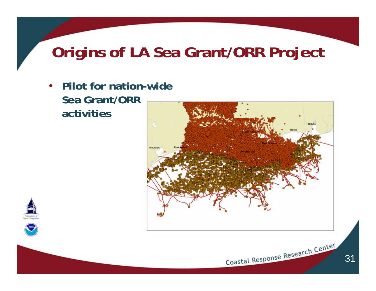#### **Origins of LA Sea Grant/ORR Project**

• **Pilot for nation-wide Sea Grant/ORR activities**





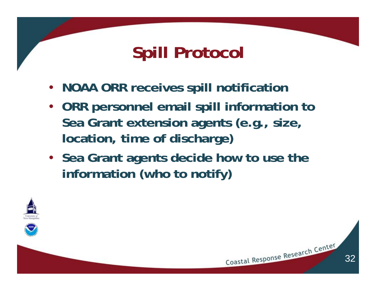## **Spill Protocol**

- **NOAA ORR receives spill notification**
- **ORR personnel email spill information to Sea Grant extension agents (e.g., size, location, time of discharge)**
- **Sea Grant agents decide how to use the information (who to notify)**

32



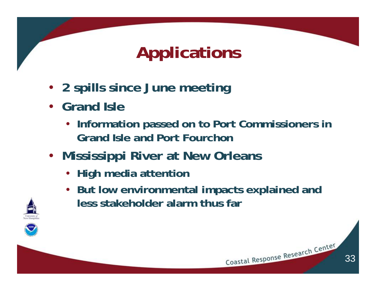## **Applications**

- **2 spills since June meeting**
- **Grand Isle**
	- **Information passed on to Port Commissioners in Grand Isle and Port Fourchon**
- **Mississippi River at New Orleans** 
	- **High media attention**
	- **But low environmental impacts explained and less stakeholder alarm thus far**

33